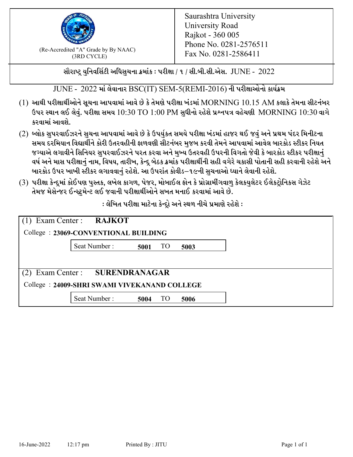

 $F_{\text{R}}$  (Re-Accredited "A" Grade by By NAAC)<br>(3PD CVCLE)<br> $F_{\text{R}}$  No. 0281-2586411 (3RD CYCLE)

સૌરાષ્ટ્ર યુનિવર્સિટી અધિસુચના ક્રમાંક : પરીક્ષા / ૧ / સી.બી.સી.એસ.  $\,$  JUNE -  $\,2022$ 

 $JUNE - 2022$  માં લેવાનાર BSC(IT) SEM-5(REMI-2016) ની પરીક્ષાઓનો કાર્યક્રમ

- $(1)$  આથી પરીક્ષાર્થીઓને સૂચના આપવામાં આવે છે કે તેમણે પરીક્ષા ખંડમાં  $\operatorname{MORNING}$   $10.15$   $\operatorname{AM}$  કલાકે તેમના સીટનંબર ઉપર સ્થાન લઈ લેવું. પરીક્ષા સમય  $10:30 \text{ TO } 1:00 \text{ PM}$  સુધીનો રહેશે પ્રશ્નપત્ર વહેચણી  $\text{MORNING } 10:30$  વાગે કરવામાં આવશે.
- (2) બ્લોક સુપરવાઈઝરને સુચના આપવામાં આવે છે કે ઉપર્યુકત સમયે પરીક્ષા ખંડમાં હાજર થઈ જવું અને પ્રથમ પંદર મિનીટના સમય દરમિયાન વિદ્યાર્થીને કોરી ઉતરવહીની ફાળવણી સીટનંબર મજબ કરવી તેમને આપવામાં આવેલ બારકોડ સ્ટીકર નિયત જગ્યાએ લગાવીને સિનિયર સુપરવાઈઝરને પરત કરવા અને મુખ્ય ઉતરવહી ઉપરની વિગતો જેવી કે બારકોડ સ્ટીકર પરીક્ષ<u>ાન</u>ં વર્ષ અને માસ પરીક્ષાનું નામ, વિષય, તારીખ, કેન્દ્ર બેઠક ક્રમાંક પરીક્ષાર્થીની સહી વગેરે ચકાસી પોતાની સહી કરવાની રહેશે અને બારકોડ ઉપર ખાખી સ્ટીકર લગાવવાનં રહેશે. આ ઉપરાંત કોવીડ–૧૯ની સચનાઓ ધ્યાને લેવાની રહેશે.
- (3) પરીક્ષા કેન્દ્રમાં કોઈપણ પુસ્તક, લખેલ કાગળ, પેજર, મોબાઈલ ફોન કે પ્રોગ્રામીંગવાળુ કેલકયુલેટર ઈલેકટ્રોનિકસ ગેઝેટ તેમજ મેસેન્જર ઈન્સ્ટમેન્ટ લઈ જવાની પરીક્ષાર્થીઓને સખત મનાઈ કરવામાં આવે છે.

 $:$ લેખિત પરીક્ષા માટેના કેન્દ્રો અને સ્થળ નીચે પ્રમાણે રહેશે  $:$ 

| Exam Center : RAJKOT<br>College: 23069-CONVENTIONAL BUILDING |                   |      |  |
|--------------------------------------------------------------|-------------------|------|--|
| Seat Number:                                                 | <b>TO</b><br>5001 | 5003 |  |
|                                                              |                   |      |  |
| Exam Center: SURENDRANAGAR                                   |                   |      |  |
| College: 24009-SHRI SWAMI VIVEKANAND COLLEGE                 |                   |      |  |
| Seat Number:                                                 | <b>TO</b><br>5004 | 5006 |  |